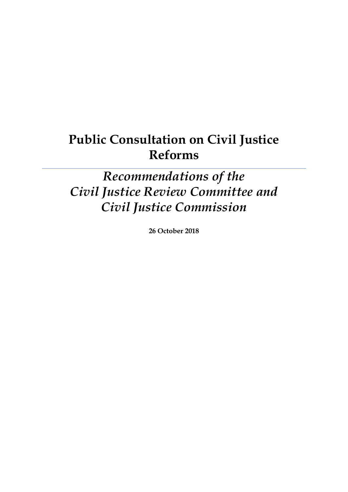# **Public Consultation on Civil Justice Reforms**

*Recommendations of the Civil Justice Review Committee and Civil Justice Commission*

**26 October 2018**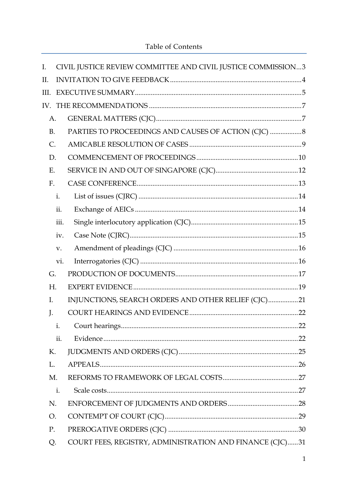| I.        |      | CIVIL JUSTICE REVIEW COMMITTEE AND CIVIL JUSTICE COMMISSION3 |  |
|-----------|------|--------------------------------------------------------------|--|
| II.       |      |                                                              |  |
| III.      |      |                                                              |  |
| IV.       |      |                                                              |  |
| A.        |      |                                                              |  |
| <b>B.</b> |      | PARTIES TO PROCEEDINGS AND CAUSES OF ACTION (CJC)  8         |  |
| C.        |      |                                                              |  |
| D.        |      |                                                              |  |
| Ε.        |      |                                                              |  |
| F.        |      |                                                              |  |
|           | i.   |                                                              |  |
|           | ii.  |                                                              |  |
|           | iii. |                                                              |  |
|           | iv.  |                                                              |  |
|           | V.   |                                                              |  |
|           | vi.  |                                                              |  |
| G.        |      |                                                              |  |
| H.        |      |                                                              |  |
| I.        |      | INJUNCTIONS, SEARCH ORDERS AND OTHER RELIEF (CJC)21          |  |
| J.        |      |                                                              |  |
|           | i.   |                                                              |  |
|           | ii.  |                                                              |  |
| К.        |      |                                                              |  |
| L.        |      |                                                              |  |
| M.        |      |                                                              |  |
|           | i.   |                                                              |  |
| N.        |      |                                                              |  |
| Ο.        |      |                                                              |  |
| P.        |      |                                                              |  |
| Q.        |      | COURT FEES, REGISTRY, ADMINISTRATION AND FINANCE (CJC)31     |  |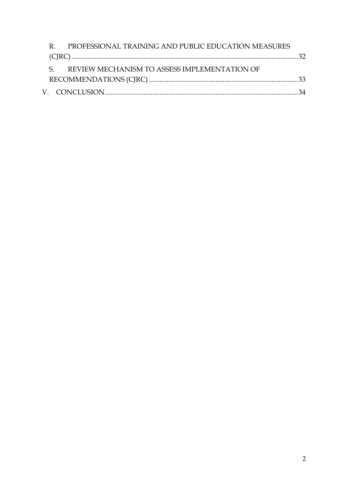| R. PROFESSIONAL TRAINING AND PUBLIC EDUCATION MEASURES |  |  |
|--------------------------------------------------------|--|--|
|                                                        |  |  |
| S. REVIEW MECHANISM TO ASSESS IMPLEMENTATION OF        |  |  |
|                                                        |  |  |
|                                                        |  |  |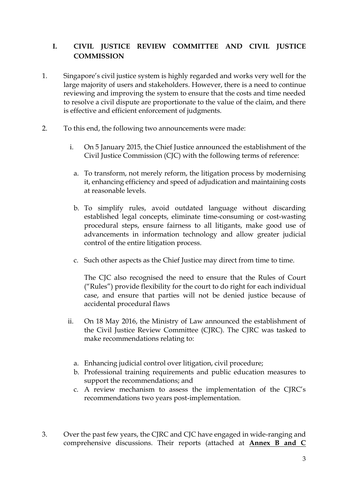# <span id="page-3-0"></span>**I. CIVIL JUSTICE REVIEW COMMITTEE AND CIVIL JUSTICE COMMISSION**

- 1. Singapore's civil justice system is highly regarded and works very well for the large majority of users and stakeholders. However, there is a need to continue reviewing and improving the system to ensure that the costs and time needed to resolve a civil dispute are proportionate to the value of the claim, and there is effective and efficient enforcement of judgments.
- 2. To this end, the following two announcements were made:
	- i. On 5 January 2015, the Chief Justice announced the establishment of the Civil Justice Commission (CJC) with the following terms of reference:
		- a. To transform, not merely reform, the litigation process by modernising it, enhancing efficiency and speed of adjudication and maintaining costs at reasonable levels.
		- b. To simplify rules, avoid outdated language without discarding established legal concepts, eliminate time-consuming or cost-wasting procedural steps, ensure fairness to all litigants, make good use of advancements in information technology and allow greater judicial control of the entire litigation process.
		- c. Such other aspects as the Chief Justice may direct from time to time.

The CJC also recognised the need to ensure that the Rules of Court ("Rules") provide flexibility for the court to do right for each individual case, and ensure that parties will not be denied justice because of accidental procedural flaws

- ii. On 18 May 2016, the Ministry of Law announced the establishment of the Civil Justice Review Committee (CJRC). The CJRC was tasked to make recommendations relating to:
	- a. Enhancing judicial control over litigation, civil procedure;
	- b. Professional training requirements and public education measures to support the recommendations; and
	- c. A review mechanism to assess the implementation of the CJRC's recommendations two years post-implementation.
- 3. Over the past few years, the CJRC and CJC have engaged in wide-ranging and comprehensive discussions. Their reports (attached at **Annex B and C**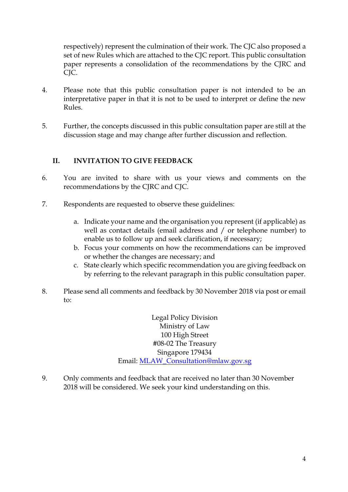respectively) represent the culmination of their work. The CJC also proposed a set of new Rules which are attached to the CJC report. This public consultation paper represents a consolidation of the recommendations by the CJRC and CJC.

- 4. Please note that this public consultation paper is not intended to be an interpretative paper in that it is not to be used to interpret or define the new Rules.
- 5. Further, the concepts discussed in this public consultation paper are still at the discussion stage and may change after further discussion and reflection.

# <span id="page-4-0"></span>**II. INVITATION TO GIVE FEEDBACK**

- 6. You are invited to share with us your views and comments on the recommendations by the CJRC and CJC.
- 7. Respondents are requested to observe these guidelines:
	- a. Indicate your name and the organisation you represent (if applicable) as well as contact details (email address and / or telephone number) to enable us to follow up and seek clarification, if necessary;
	- b. Focus your comments on how the recommendations can be improved or whether the changes are necessary; and
	- c. State clearly which specific recommendation you are giving feedback on by referring to the relevant paragraph in this public consultation paper.
- 8. Please send all comments and feedback by 30 November 2018 via post or email to:

Legal Policy Division Ministry of Law 100 High Street #08-02 The Treasury Singapore 179434 Email: [MLAW\\_Consultation@mlaw.gov.sg](mailto:MLAW_Consultation@mlaw.gov.sg)

9. Only comments and feedback that are received no later than 30 November 2018 will be considered. We seek your kind understanding on this.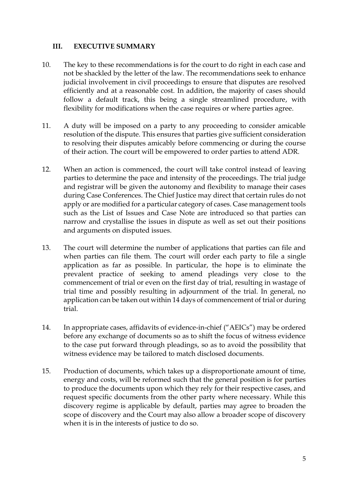#### <span id="page-5-0"></span>**III. EXECUTIVE SUMMARY**

- 10. The key to these recommendations is for the court to do right in each case and not be shackled by the letter of the law. The recommendations seek to enhance judicial involvement in civil proceedings to ensure that disputes are resolved efficiently and at a reasonable cost. In addition, the majority of cases should follow a default track, this being a single streamlined procedure, with flexibility for modifications when the case requires or where parties agree.
- 11. A duty will be imposed on a party to any proceeding to consider amicable resolution of the dispute. This ensures that parties give sufficient consideration to resolving their disputes amicably before commencing or during the course of their action. The court will be empowered to order parties to attend ADR.
- 12. When an action is commenced, the court will take control instead of leaving parties to determine the pace and intensity of the proceedings. The trial judge and registrar will be given the autonomy and flexibility to manage their cases during Case Conferences. The Chief Justice may direct that certain rules do not apply or are modified for a particular category of cases. Case management tools such as the List of Issues and Case Note are introduced so that parties can narrow and crystallise the issues in dispute as well as set out their positions and arguments on disputed issues.
- 13. The court will determine the number of applications that parties can file and when parties can file them. The court will order each party to file a single application as far as possible. In particular, the hope is to eliminate the prevalent practice of seeking to amend pleadings very close to the commencement of trial or even on the first day of trial, resulting in wastage of trial time and possibly resulting in adjournment of the trial. In general, no application can be taken out within 14 days of commencement of trial or during trial.
- 14. In appropriate cases, affidavits of evidence-in-chief ("AEICs") may be ordered before any exchange of documents so as to shift the focus of witness evidence to the case put forward through pleadings, so as to avoid the possibility that witness evidence may be tailored to match disclosed documents.
- 15. Production of documents, which takes up a disproportionate amount of time, energy and costs, will be reformed such that the general position is for parties to produce the documents upon which they rely for their respective cases, and request specific documents from the other party where necessary. While this discovery regime is applicable by default, parties may agree to broaden the scope of discovery and the Court may also allow a broader scope of discovery when it is in the interests of justice to do so.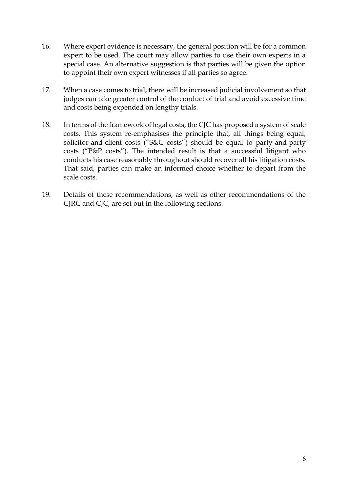- 16. Where expert evidence is necessary, the general position will be for a common expert to be used. The court may allow parties to use their own experts in a special case. An alternative suggestion is that parties will be given the option to appoint their own expert witnesses if all parties so agree.
- 17. When a case comes to trial, there will be increased judicial involvement so that judges can take greater control of the conduct of trial and avoid excessive time and costs being expended on lengthy trials.
- 18. In terms of the framework of legal costs, the CJC has proposed a system of scale costs. This system re-emphasises the principle that, all things being equal, solicitor-and-client costs ("S&C costs") should be equal to party-and-party costs ("P&P costs"). The intended result is that a successful litigant who conducts his case reasonably throughout should recover all his litigation costs. That said, parties can make an informed choice whether to depart from the scale costs.
- 19. Details of these recommendations, as well as other recommendations of the CJRC and CJC, are set out in the following sections.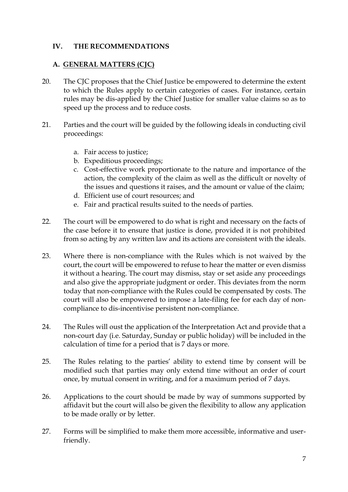#### <span id="page-7-0"></span>**IV. THE RECOMMENDATIONS**

#### <span id="page-7-1"></span>**A. GENERAL MATTERS (CJC)**

- 20. The CJC proposes that the Chief Justice be empowered to determine the extent to which the Rules apply to certain categories of cases. For instance, certain rules may be dis-applied by the Chief Justice for smaller value claims so as to speed up the process and to reduce costs.
- 21. Parties and the court will be guided by the following ideals in conducting civil proceedings:
	- a. Fair access to justice;
	- b. Expeditious proceedings;
	- c. Cost-effective work proportionate to the nature and importance of the action, the complexity of the claim as well as the difficult or novelty of the issues and questions it raises, and the amount or value of the claim;
	- d. Efficient use of court resources; and
	- e. Fair and practical results suited to the needs of parties.
- 22. The court will be empowered to do what is right and necessary on the facts of the case before it to ensure that justice is done, provided it is not prohibited from so acting by any written law and its actions are consistent with the ideals.
- 23. Where there is non-compliance with the Rules which is not waived by the court, the court will be empowered to refuse to hear the matter or even dismiss it without a hearing. The court may dismiss, stay or set aside any proceedings and also give the appropriate judgment or order. This deviates from the norm today that non-compliance with the Rules could be compensated by costs. The court will also be empowered to impose a late-filing fee for each day of noncompliance to dis-incentivise persistent non-compliance.
- 24. The Rules will oust the application of the Interpretation Act and provide that a non-court day (i.e. Saturday, Sunday or public holiday) will be included in the calculation of time for a period that is 7 days or more.
- 25. The Rules relating to the parties' ability to extend time by consent will be modified such that parties may only extend time without an order of court once, by mutual consent in writing, and for a maximum period of 7 days.
- 26. Applications to the court should be made by way of summons supported by affidavit but the court will also be given the flexibility to allow any application to be made orally or by letter.
- 27. Forms will be simplified to make them more accessible, informative and userfriendly.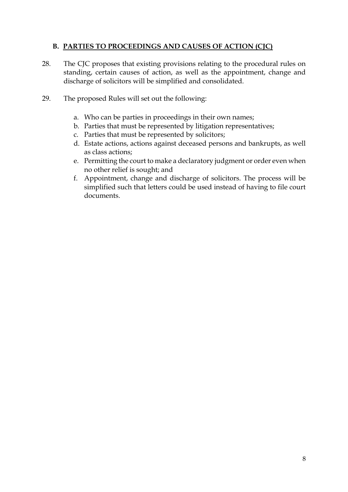# <span id="page-8-0"></span>**B. PARTIES TO PROCEEDINGS AND CAUSES OF ACTION (CJC)**

- 28. The CJC proposes that existing provisions relating to the procedural rules on standing, certain causes of action, as well as the appointment, change and discharge of solicitors will be simplified and consolidated.
- 29. The proposed Rules will set out the following:
	- a. Who can be parties in proceedings in their own names;
	- b. Parties that must be represented by litigation representatives;
	- c. Parties that must be represented by solicitors;
	- d. Estate actions, actions against deceased persons and bankrupts, as well as class actions;
	- e. Permitting the court to make a declaratory judgment or order even when no other relief is sought; and
	- f. Appointment, change and discharge of solicitors. The process will be simplified such that letters could be used instead of having to file court documents.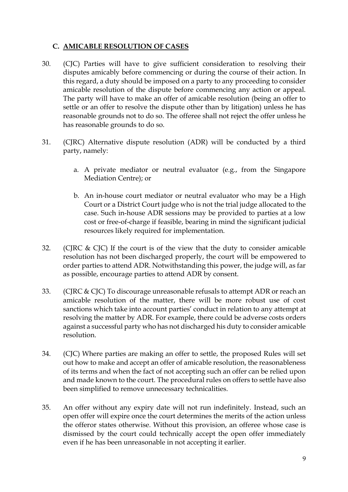### <span id="page-9-0"></span>**C. AMICABLE RESOLUTION OF CASES**

- 30. (CJC) Parties will have to give sufficient consideration to resolving their disputes amicably before commencing or during the course of their action. In this regard, a duty should be imposed on a party to any proceeding to consider amicable resolution of the dispute before commencing any action or appeal. The party will have to make an offer of amicable resolution (being an offer to settle or an offer to resolve the dispute other than by litigation) unless he has reasonable grounds not to do so. The offeree shall not reject the offer unless he has reasonable grounds to do so.
- 31. (CJRC) Alternative dispute resolution (ADR) will be conducted by a third party, namely:
	- a. A private mediator or neutral evaluator (e.g., from the Singapore Mediation Centre); or
	- b. An in-house court mediator or neutral evaluator who may be a High Court or a District Court judge who is not the trial judge allocated to the case. Such in-house ADR sessions may be provided to parties at a low cost or free-of-charge if feasible, bearing in mind the significant judicial resources likely required for implementation.
- 32. (CJRC & CJC) If the court is of the view that the duty to consider amicable resolution has not been discharged properly, the court will be empowered to order parties to attend ADR. Notwithstanding this power, the judge will, as far as possible, encourage parties to attend ADR by consent.
- 33. (CJRC & CJC) To discourage unreasonable refusals to attempt ADR or reach an amicable resolution of the matter, there will be more robust use of cost sanctions which take into account parties' conduct in relation to any attempt at resolving the matter by ADR. For example, there could be adverse costs orders against a successful party who has not discharged his duty to consider amicable resolution.
- 34. (CJC) Where parties are making an offer to settle, the proposed Rules will set out how to make and accept an offer of amicable resolution, the reasonableness of its terms and when the fact of not accepting such an offer can be relied upon and made known to the court. The procedural rules on offers to settle have also been simplified to remove unnecessary technicalities.
- 35. An offer without any expiry date will not run indefinitely. Instead, such an open offer will expire once the court determines the merits of the action unless the offeror states otherwise. Without this provision, an offeree whose case is dismissed by the court could technically accept the open offer immediately even if he has been unreasonable in not accepting it earlier.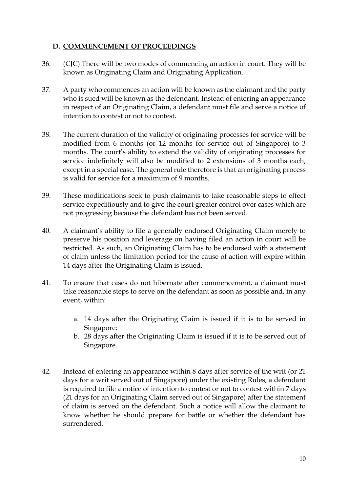#### <span id="page-10-0"></span>**D. COMMENCEMENT OF PROCEEDINGS**

- 36. (CJC) There will be two modes of commencing an action in court. They will be known as Originating Claim and Originating Application.
- 37. A party who commences an action will be known as the claimant and the party who is sued will be known as the defendant. Instead of entering an appearance in respect of an Originating Claim, a defendant must file and serve a notice of intention to contest or not to contest.
- 38. The current duration of the validity of originating processes for service will be modified from 6 months (or 12 months for service out of Singapore) to 3 months. The court's ability to extend the validity of originating processes for service indefinitely will also be modified to 2 extensions of 3 months each, except in a special case. The general rule therefore is that an originating process is valid for service for a maximum of 9 months.
- 39. These modifications seek to push claimants to take reasonable steps to effect service expeditiously and to give the court greater control over cases which are not progressing because the defendant has not been served.
- 40. A claimant's ability to file a generally endorsed Originating Claim merely to preserve his position and leverage on having filed an action in court will be restricted. As such, an Originating Claim has to be endorsed with a statement of claim unless the limitation period for the cause of action will expire within 14 days after the Originating Claim is issued.
- 41. To ensure that cases do not hibernate after commencement, a claimant must take reasonable steps to serve on the defendant as soon as possible and, in any event, within:
	- a. 14 days after the Originating Claim is issued if it is to be served in Singapore;
	- b. 28 days after the Originating Claim is issued if it is to be served out of Singapore.
- 42. Instead of entering an appearance within 8 days after service of the writ (or 21 days for a writ served out of Singapore) under the existing Rules, a defendant is required to file a notice of intention to contest or not to contest within 7 days (21 days for an Originating Claim served out of Singapore) after the statement of claim is served on the defendant. Such a notice will allow the claimant to know whether he should prepare for battle or whether the defendant has surrendered.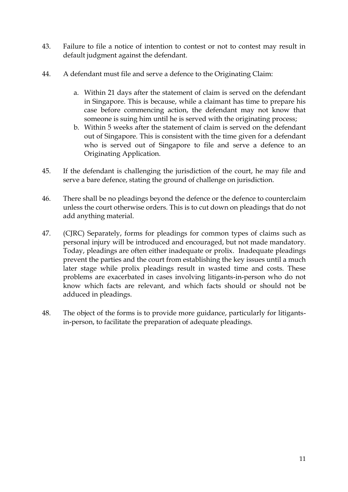- 43. Failure to file a notice of intention to contest or not to contest may result in default judgment against the defendant.
- 44. A defendant must file and serve a defence to the Originating Claim:
	- a. Within 21 days after the statement of claim is served on the defendant in Singapore. This is because, while a claimant has time to prepare his case before commencing action, the defendant may not know that someone is suing him until he is served with the originating process;
	- b. Within 5 weeks after the statement of claim is served on the defendant out of Singapore. This is consistent with the time given for a defendant who is served out of Singapore to file and serve a defence to an Originating Application.
- 45. If the defendant is challenging the jurisdiction of the court, he may file and serve a bare defence, stating the ground of challenge on jurisdiction.
- 46. There shall be no pleadings beyond the defence or the defence to counterclaim unless the court otherwise orders. This is to cut down on pleadings that do not add anything material.
- 47. (CJRC) Separately, forms for pleadings for common types of claims such as personal injury will be introduced and encouraged, but not made mandatory. Today, pleadings are often either inadequate or prolix. Inadequate pleadings prevent the parties and the court from establishing the key issues until a much later stage while prolix pleadings result in wasted time and costs. These problems are exacerbated in cases involving litigants-in-person who do not know which facts are relevant, and which facts should or should not be adduced in pleadings.
- 48. The object of the forms is to provide more guidance, particularly for litigantsin-person, to facilitate the preparation of adequate pleadings.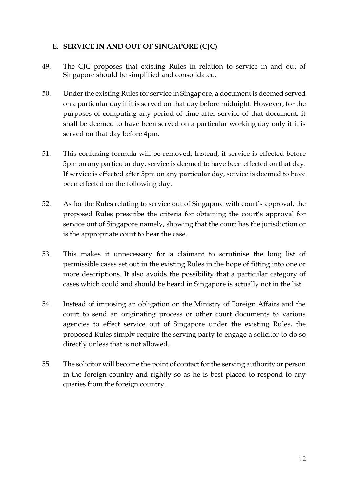### <span id="page-12-0"></span>**E. SERVICE IN AND OUT OF SINGAPORE (CJC)**

- 49. The CJC proposes that existing Rules in relation to service in and out of Singapore should be simplified and consolidated.
- 50. Under the existing Rules for service in Singapore, a document is deemed served on a particular day if it is served on that day before midnight. However, for the purposes of computing any period of time after service of that document, it shall be deemed to have been served on a particular working day only if it is served on that day before 4pm.
- 51. This confusing formula will be removed. Instead, if service is effected before 5pm on any particular day, service is deemed to have been effected on that day. If service is effected after 5pm on any particular day, service is deemed to have been effected on the following day.
- 52. As for the Rules relating to service out of Singapore with court's approval, the proposed Rules prescribe the criteria for obtaining the court's approval for service out of Singapore namely, showing that the court has the jurisdiction or is the appropriate court to hear the case.
- 53. This makes it unnecessary for a claimant to scrutinise the long list of permissible cases set out in the existing Rules in the hope of fitting into one or more descriptions. It also avoids the possibility that a particular category of cases which could and should be heard in Singapore is actually not in the list.
- 54. Instead of imposing an obligation on the Ministry of Foreign Affairs and the court to send an originating process or other court documents to various agencies to effect service out of Singapore under the existing Rules, the proposed Rules simply require the serving party to engage a solicitor to do so directly unless that is not allowed.
- 55. The solicitor will become the point of contact for the serving authority or person in the foreign country and rightly so as he is best placed to respond to any queries from the foreign country.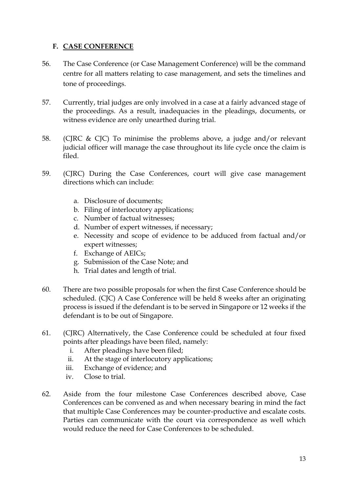#### <span id="page-13-0"></span>**F. CASE CONFERENCE**

- 56. The Case Conference (or Case Management Conference) will be the command centre for all matters relating to case management, and sets the timelines and tone of proceedings.
- 57. Currently, trial judges are only involved in a case at a fairly advanced stage of the proceedings. As a result, inadequacies in the pleadings, documents, or witness evidence are only unearthed during trial.
- 58. (CJRC & CJC) To minimise the problems above, a judge and/or relevant judicial officer will manage the case throughout its life cycle once the claim is filed.
- 59. (CJRC) During the Case Conferences, court will give case management directions which can include:
	- a. Disclosure of documents;
	- b. Filing of interlocutory applications;
	- c. Number of factual witnesses;
	- d. Number of expert witnesses, if necessary;
	- e. Necessity and scope of evidence to be adduced from factual and/or expert witnesses;
	- f. Exchange of AEICs;
	- g. Submission of the Case Note; and
	- h. Trial dates and length of trial.
- 60. There are two possible proposals for when the first Case Conference should be scheduled. (CJC) A Case Conference will be held 8 weeks after an originating process is issued if the defendant is to be served in Singapore or 12 weeks if the defendant is to be out of Singapore.
- 61. (CJRC) Alternatively, the Case Conference could be scheduled at four fixed points after pleadings have been filed, namely:
	- i. After pleadings have been filed;
	- ii. At the stage of interlocutory applications;
	- iii. Exchange of evidence; and
	- iv. Close to trial.
- 62. Aside from the four milestone Case Conferences described above, Case Conferences can be convened as and when necessary bearing in mind the fact that multiple Case Conferences may be counter-productive and escalate costs. Parties can communicate with the court via correspondence as well which would reduce the need for Case Conferences to be scheduled.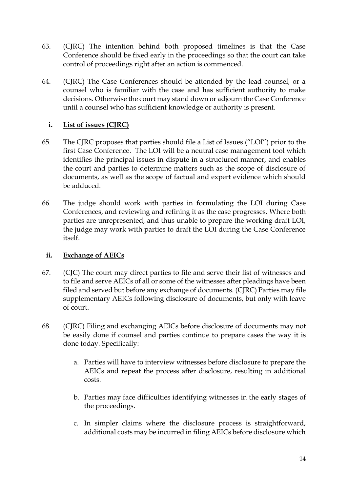- 63. (CJRC) The intention behind both proposed timelines is that the Case Conference should be fixed early in the proceedings so that the court can take control of proceedings right after an action is commenced.
- 64. (CJRC) The Case Conferences should be attended by the lead counsel, or a counsel who is familiar with the case and has sufficient authority to make decisions. Otherwise the court may stand down or adjourn the Case Conference until a counsel who has sufficient knowledge or authority is present.

### <span id="page-14-0"></span>**i. List of issues (CJRC)**

- 65. The CJRC proposes that parties should file a List of Issues ("LOI") prior to the first Case Conference. The LOI will be a neutral case management tool which identifies the principal issues in dispute in a structured manner, and enables the court and parties to determine matters such as the scope of disclosure of documents, as well as the scope of factual and expert evidence which should be adduced.
- 66. The judge should work with parties in formulating the LOI during Case Conferences, and reviewing and refining it as the case progresses. Where both parties are unrepresented, and thus unable to prepare the working draft LOI, the judge may work with parties to draft the LOI during the Case Conference itself.

# <span id="page-14-1"></span>**ii. Exchange of AEICs**

- 67. (CJC) The court may direct parties to file and serve their list of witnesses and to file and serve AEICs of all or some of the witnesses after pleadings have been filed and served but before any exchange of documents. (CJRC) Parties may file supplementary AEICs following disclosure of documents, but only with leave of court.
- 68. (CJRC) Filing and exchanging AEICs before disclosure of documents may not be easily done if counsel and parties continue to prepare cases the way it is done today. Specifically:
	- a. Parties will have to interview witnesses before disclosure to prepare the AEICs and repeat the process after disclosure, resulting in additional costs.
	- b. Parties may face difficulties identifying witnesses in the early stages of the proceedings.
	- c. In simpler claims where the disclosure process is straightforward, additional costs may be incurred in filing AEICs before disclosure which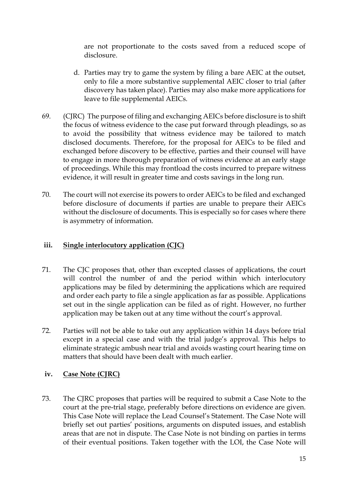are not proportionate to the costs saved from a reduced scope of disclosure.

- d. Parties may try to game the system by filing a bare AEIC at the outset, only to file a more substantive supplemental AEIC closer to trial (after discovery has taken place). Parties may also make more applications for leave to file supplemental AEICs.
- 69. (CJRC) The purpose of filing and exchanging AEICs before disclosure is to shift the focus of witness evidence to the case put forward through pleadings, so as to avoid the possibility that witness evidence may be tailored to match disclosed documents. Therefore, for the proposal for AEICs to be filed and exchanged before discovery to be effective, parties and their counsel will have to engage in more thorough preparation of witness evidence at an early stage of proceedings. While this may frontload the costs incurred to prepare witness evidence, it will result in greater time and costs savings in the long run.
- 70. The court will not exercise its powers to order AEICs to be filed and exchanged before disclosure of documents if parties are unable to prepare their AEICs without the disclosure of documents. This is especially so for cases where there is asymmetry of information.

#### <span id="page-15-0"></span>**iii. Single interlocutory application (CJC)**

- 71. The CJC proposes that, other than excepted classes of applications, the court will control the number of and the period within which interlocutory applications may be filed by determining the applications which are required and order each party to file a single application as far as possible. Applications set out in the single application can be filed as of right. However, no further application may be taken out at any time without the court's approval.
- 72. Parties will not be able to take out any application within 14 days before trial except in a special case and with the trial judge's approval. This helps to eliminate strategic ambush near trial and avoids wasting court hearing time on matters that should have been dealt with much earlier.
- <span id="page-15-1"></span>**iv. Case Note (CJRC)**
- 73. The CJRC proposes that parties will be required to submit a Case Note to the court at the pre-trial stage, preferably before directions on evidence are given. This Case Note will replace the Lead Counsel's Statement. The Case Note will briefly set out parties' positions, arguments on disputed issues, and establish areas that are not in dispute. The Case Note is not binding on parties in terms of their eventual positions. Taken together with the LOI, the Case Note will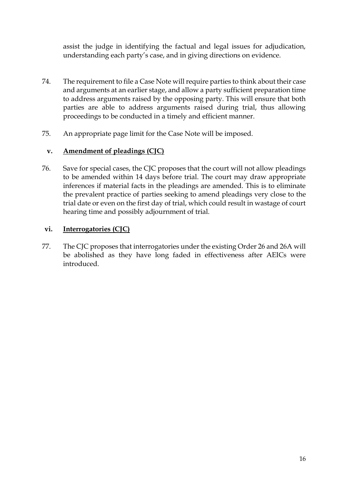assist the judge in identifying the factual and legal issues for adjudication, understanding each party's case, and in giving directions on evidence.

- 74. The requirement to file a Case Note will require parties to think about their case and arguments at an earlier stage, and allow a party sufficient preparation time to address arguments raised by the opposing party. This will ensure that both parties are able to address arguments raised during trial, thus allowing proceedings to be conducted in a timely and efficient manner.
- 75. An appropriate page limit for the Case Note will be imposed.

#### <span id="page-16-0"></span>**v. Amendment of pleadings (CJC)**

76. Save for special cases, the CJC proposes that the court will not allow pleadings to be amended within 14 days before trial. The court may draw appropriate inferences if material facts in the pleadings are amended. This is to eliminate the prevalent practice of parties seeking to amend pleadings very close to the trial date or even on the first day of trial, which could result in wastage of court hearing time and possibly adjournment of trial.

#### <span id="page-16-1"></span>**vi. Interrogatories (CJC)**

77. The CJC proposes that interrogatories under the existing Order 26 and 26A will be abolished as they have long faded in effectiveness after AEICs were introduced.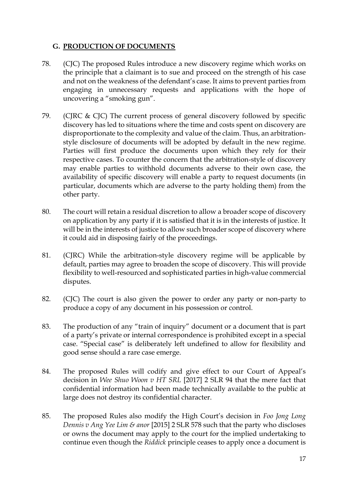#### <span id="page-17-0"></span>**G. PRODUCTION OF DOCUMENTS**

- 78. (CJC) The proposed Rules introduce a new discovery regime which works on the principle that a claimant is to sue and proceed on the strength of his case and not on the weakness of the defendant's case. It aims to prevent parties from engaging in unnecessary requests and applications with the hope of uncovering a "smoking gun".
- 79. (CJRC & CJC) The current process of general discovery followed by specific discovery has led to situations where the time and costs spent on discovery are disproportionate to the complexity and value of the claim. Thus, an arbitrationstyle disclosure of documents will be adopted by default in the new regime. Parties will first produce the documents upon which they rely for their respective cases. To counter the concern that the arbitration-style of discovery may enable parties to withhold documents adverse to their own case, the availability of specific discovery will enable a party to request documents (in particular, documents which are adverse to the party holding them) from the other party.
- 80. The court will retain a residual discretion to allow a broader scope of discovery on application by any party if it is satisfied that it is in the interests of justice. It will be in the interests of justice to allow such broader scope of discovery where it could aid in disposing fairly of the proceedings.
- 81. (CJRC) While the arbitration-style discovery regime will be applicable by default, parties may agree to broaden the scope of discovery. This will provide flexibility to well-resourced and sophisticated parties in high-value commercial disputes.
- 82. (CJC) The court is also given the power to order any party or non-party to produce a copy of any document in his possession or control.
- 83. The production of any "train of inquiry" document or a document that is part of a party's private or internal correspondence is prohibited except in a special case. "Special case" is deliberately left undefined to allow for flexibility and good sense should a rare case emerge.
- 84. The proposed Rules will codify and give effect to our Court of Appeal's decision in *Wee Shuo Woon v HT SRL* [2017] 2 SLR 94 that the mere fact that confidential information had been made technically available to the public at large does not destroy its confidential character.
- 85. The proposed Rules also modify the High Court's decision in *Foo Jong Long Dennis v Ang Yee Lim & anor* [2015] 2 SLR 578 such that the party who discloses or owns the document may apply to the court for the implied undertaking to continue even though the *Riddick* principle ceases to apply once a document is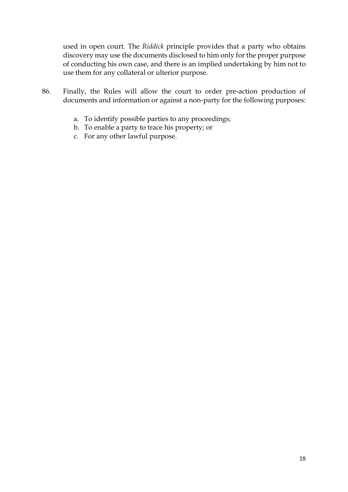used in open court. The *Riddick* principle provides that a party who obtains discovery may use the documents disclosed to him only for the proper purpose of conducting his own case, and there is an implied undertaking by him not to use them for any collateral or ulterior purpose.

- 86. Finally, the Rules will allow the court to order pre-action production of documents and information or against a non-party for the following purposes:
	- a. To identify possible parties to any proceedings;
	- b. To enable a party to trace his property; or
	- c. For any other lawful purpose.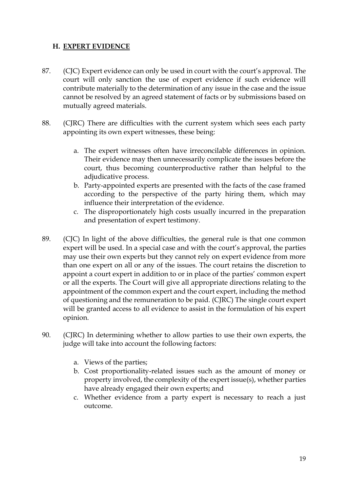#### <span id="page-19-0"></span>**H. EXPERT EVIDENCE**

- 87. (CJC) Expert evidence can only be used in court with the court's approval. The court will only sanction the use of expert evidence if such evidence will contribute materially to the determination of any issue in the case and the issue cannot be resolved by an agreed statement of facts or by submissions based on mutually agreed materials.
- 88. (CJRC) There are difficulties with the current system which sees each party appointing its own expert witnesses, these being:
	- a. The expert witnesses often have irreconcilable differences in opinion. Their evidence may then unnecessarily complicate the issues before the court, thus becoming counterproductive rather than helpful to the adjudicative process.
	- b. Party-appointed experts are presented with the facts of the case framed according to the perspective of the party hiring them, which may influence their interpretation of the evidence.
	- c. The disproportionately high costs usually incurred in the preparation and presentation of expert testimony.
- 89. (CJC) In light of the above difficulties, the general rule is that one common expert will be used. In a special case and with the court's approval, the parties may use their own experts but they cannot rely on expert evidence from more than one expert on all or any of the issues. The court retains the discretion to appoint a court expert in addition to or in place of the parties' common expert or all the experts. The Court will give all appropriate directions relating to the appointment of the common expert and the court expert, including the method of questioning and the remuneration to be paid. (CJRC) The single court expert will be granted access to all evidence to assist in the formulation of his expert opinion.
- 90. (CJRC) In determining whether to allow parties to use their own experts, the judge will take into account the following factors:
	- a. Views of the parties;
	- b. Cost proportionality-related issues such as the amount of money or property involved, the complexity of the expert issue(s), whether parties have already engaged their own experts; and
	- c. Whether evidence from a party expert is necessary to reach a just outcome.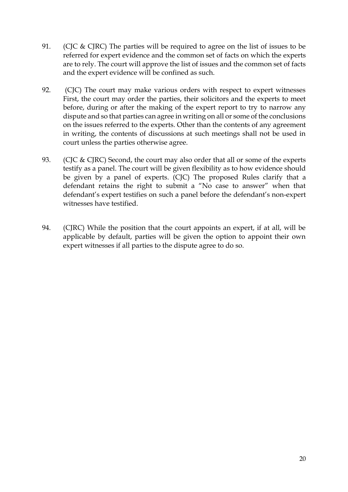- 91. (CJC & CJRC) The parties will be required to agree on the list of issues to be referred for expert evidence and the common set of facts on which the experts are to rely. The court will approve the list of issues and the common set of facts and the expert evidence will be confined as such.
- 92. (CJC) The court may make various orders with respect to expert witnesses First, the court may order the parties, their solicitors and the experts to meet before, during or after the making of the expert report to try to narrow any dispute and so that parties can agree in writing on all or some of the conclusions on the issues referred to the experts. Other than the contents of any agreement in writing, the contents of discussions at such meetings shall not be used in court unless the parties otherwise agree.
- 93. (CJC & CJRC) Second, the court may also order that all or some of the experts testify as a panel. The court will be given flexibility as to how evidence should be given by a panel of experts. (CJC) The proposed Rules clarify that a defendant retains the right to submit a "No case to answer" when that defendant's expert testifies on such a panel before the defendant's non-expert witnesses have testified.
- 94. (CJRC) While the position that the court appoints an expert, if at all, will be applicable by default, parties will be given the option to appoint their own expert witnesses if all parties to the dispute agree to do so.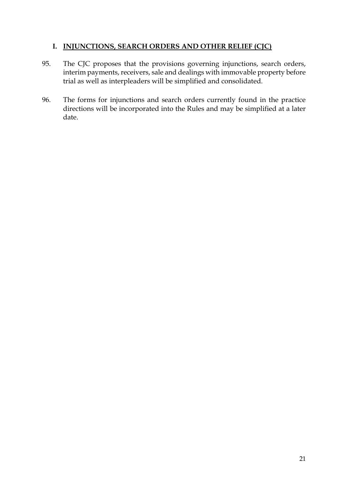#### <span id="page-21-0"></span>**I. INJUNCTIONS, SEARCH ORDERS AND OTHER RELIEF (CJC)**

- 95. The CJC proposes that the provisions governing injunctions, search orders, interim payments, receivers, sale and dealings with immovable property before trial as well as interpleaders will be simplified and consolidated.
- 96. The forms for injunctions and search orders currently found in the practice directions will be incorporated into the Rules and may be simplified at a later date.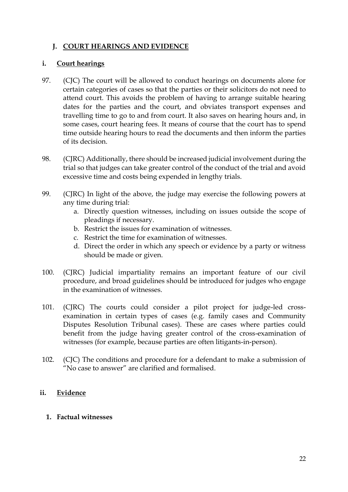#### <span id="page-22-0"></span>**J. COURT HEARINGS AND EVIDENCE**

#### <span id="page-22-1"></span>**i. Court hearings**

- 97. (CJC) The court will be allowed to conduct hearings on documents alone for certain categories of cases so that the parties or their solicitors do not need to attend court. This avoids the problem of having to arrange suitable hearing dates for the parties and the court, and obviates transport expenses and travelling time to go to and from court. It also saves on hearing hours and, in some cases, court hearing fees. It means of course that the court has to spend time outside hearing hours to read the documents and then inform the parties of its decision.
- 98. (CJRC) Additionally, there should be increased judicial involvement during the trial so that judges can take greater control of the conduct of the trial and avoid excessive time and costs being expended in lengthy trials.
- 99. (CJRC) In light of the above, the judge may exercise the following powers at any time during trial:
	- a. Directly question witnesses, including on issues outside the scope of pleadings if necessary.
	- b. Restrict the issues for examination of witnesses.
	- c. Restrict the time for examination of witnesses.
	- d. Direct the order in which any speech or evidence by a party or witness should be made or given.
- 100. (CJRC) Judicial impartiality remains an important feature of our civil procedure, and broad guidelines should be introduced for judges who engage in the examination of witnesses.
- 101. (CJRC) The courts could consider a pilot project for judge-led crossexamination in certain types of cases (e.g. family cases and Community Disputes Resolution Tribunal cases). These are cases where parties could benefit from the judge having greater control of the cross-examination of witnesses (for example, because parties are often litigants-in-person).
- 102. (CJC) The conditions and procedure for a defendant to make a submission of "No case to answer" are clarified and formalised.

#### <span id="page-22-2"></span>**ii. Evidence**

#### **1. Factual witnesses**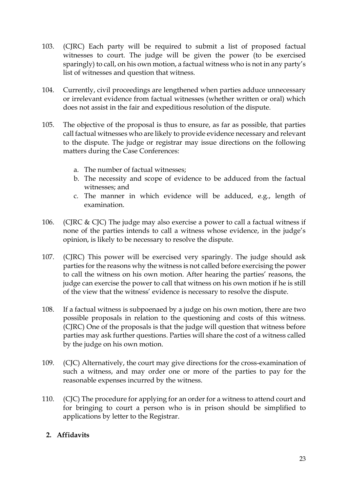- 103. (CJRC) Each party will be required to submit a list of proposed factual witnesses to court. The judge will be given the power (to be exercised sparingly) to call, on his own motion, a factual witness who is not in any party's list of witnesses and question that witness.
- 104. Currently, civil proceedings are lengthened when parties adduce unnecessary or irrelevant evidence from factual witnesses (whether written or oral) which does not assist in the fair and expeditious resolution of the dispute.
- 105. The objective of the proposal is thus to ensure, as far as possible, that parties call factual witnesses who are likely to provide evidence necessary and relevant to the dispute. The judge or registrar may issue directions on the following matters during the Case Conferences:
	- a. The number of factual witnesses;
	- b. The necessity and scope of evidence to be adduced from the factual witnesses; and
	- c. The manner in which evidence will be adduced, e.g., length of examination.
- 106. (CJRC & CJC) The judge may also exercise a power to call a factual witness if none of the parties intends to call a witness whose evidence, in the judge's opinion, is likely to be necessary to resolve the dispute.
- 107. (CJRC) This power will be exercised very sparingly. The judge should ask parties for the reasons why the witness is not called before exercising the power to call the witness on his own motion. After hearing the parties' reasons, the judge can exercise the power to call that witness on his own motion if he is still of the view that the witness' evidence is necessary to resolve the dispute.
- 108. If a factual witness is subpoenaed by a judge on his own motion, there are two possible proposals in relation to the questioning and costs of this witness. (CJRC) One of the proposals is that the judge will question that witness before parties may ask further questions. Parties will share the cost of a witness called by the judge on his own motion.
- 109. (CJC) Alternatively, the court may give directions for the cross-examination of such a witness, and may order one or more of the parties to pay for the reasonable expenses incurred by the witness.
- 110. (CJC) The procedure for applying for an order for a witness to attend court and for bringing to court a person who is in prison should be simplified to applications by letter to the Registrar.

#### **2. Affidavits**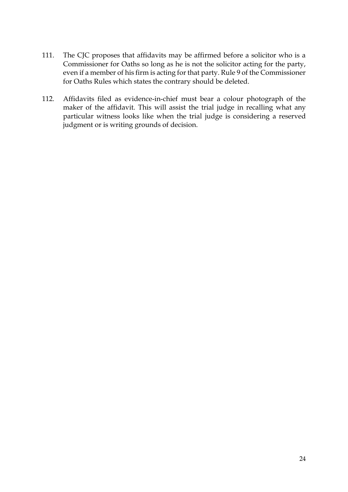- 111. The CJC proposes that affidavits may be affirmed before a solicitor who is a Commissioner for Oaths so long as he is not the solicitor acting for the party, even if a member of his firm is acting for that party. Rule 9 of the Commissioner for Oaths Rules which states the contrary should be deleted.
- 112. Affidavits filed as evidence-in-chief must bear a colour photograph of the maker of the affidavit. This will assist the trial judge in recalling what any particular witness looks like when the trial judge is considering a reserved judgment or is writing grounds of decision.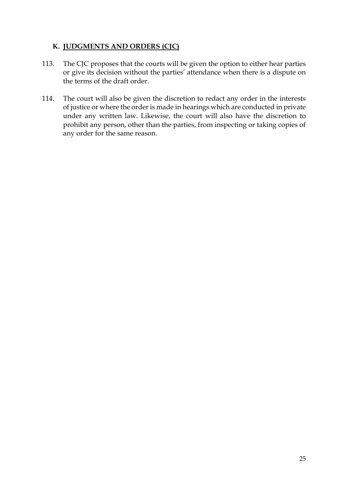# <span id="page-25-0"></span>**K. JUDGMENTS AND ORDERS (CJC)**

- 113. The CJC proposes that the courts will be given the option to either hear parties or give its decision without the parties' attendance when there is a dispute on the terms of the draft order.
- 114. The court will also be given the discretion to redact any order in the interests of justice or where the order is made in hearings which are conducted in private under any written law. Likewise, the court will also have the discretion to prohibit any person, other than the parties, from inspecting or taking copies of any order for the same reason.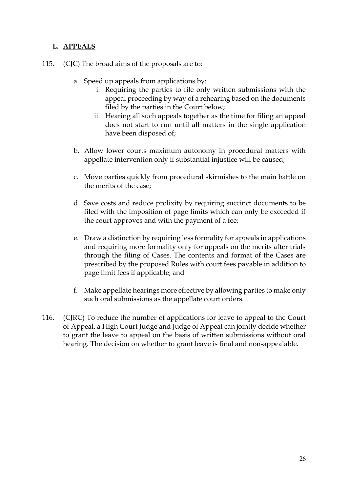### <span id="page-26-0"></span>**L. APPEALS**

- 115. (CJC) The broad aims of the proposals are to:
	- a. Speed up appeals from applications by:
		- i. Requiring the parties to file only written submissions with the appeal proceeding by way of a rehearing based on the documents filed by the parties in the Court below;
		- ii. Hearing all such appeals together as the time for filing an appeal does not start to run until all matters in the single application have been disposed of;
	- b. Allow lower courts maximum autonomy in procedural matters with appellate intervention only if substantial injustice will be caused;
	- c. Move parties quickly from procedural skirmishes to the main battle on the merits of the case;
	- d. Save costs and reduce prolixity by requiring succinct documents to be filed with the imposition of page limits which can only be exceeded if the court approves and with the payment of a fee;
	- e. Draw a distinction by requiring less formality for appeals in applications and requiring more formality only for appeals on the merits after trials through the filing of Cases. The contents and format of the Cases are prescribed by the proposed Rules with court fees payable in addition to page limit fees if applicable; and
	- f. Make appellate hearings more effective by allowing parties to make only such oral submissions as the appellate court orders.
- 116. (CJRC) To reduce the number of applications for leave to appeal to the Court of Appeal, a High Court Judge and Judge of Appeal can jointly decide whether to grant the leave to appeal on the basis of written submissions without oral hearing. The decision on whether to grant leave is final and non-appealable.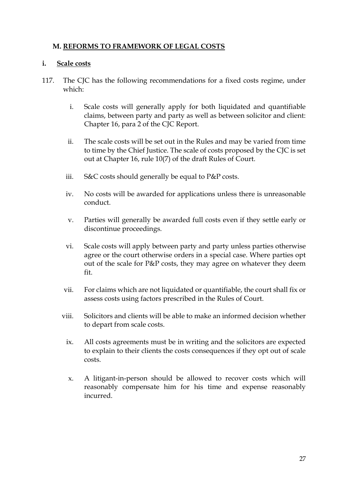#### <span id="page-27-0"></span>**M. REFORMS TO FRAMEWORK OF LEGAL COSTS**

#### <span id="page-27-1"></span>**i. Scale costs**

- 117. The CJC has the following recommendations for a fixed costs regime, under which:
	- i. Scale costs will generally apply for both liquidated and quantifiable claims, between party and party as well as between solicitor and client: Chapter 16, para 2 of the CJC Report.
	- ii. The scale costs will be set out in the Rules and may be varied from time to time by the Chief Justice. The scale of costs proposed by the CJC is set out at Chapter 16, rule 10(7) of the draft Rules of Court.
	- iii. S&C costs should generally be equal to P&P costs.
	- iv. No costs will be awarded for applications unless there is unreasonable conduct.
	- v. Parties will generally be awarded full costs even if they settle early or discontinue proceedings.
	- vi. Scale costs will apply between party and party unless parties otherwise agree or the court otherwise orders in a special case. Where parties opt out of the scale for P&P costs, they may agree on whatever they deem fit.
	- vii. For claims which are not liquidated or quantifiable, the court shall fix or assess costs using factors prescribed in the Rules of Court.
	- viii. Solicitors and clients will be able to make an informed decision whether to depart from scale costs.
		- ix. All costs agreements must be in writing and the solicitors are expected to explain to their clients the costs consequences if they opt out of scale costs.
		- x. A litigant-in-person should be allowed to recover costs which will reasonably compensate him for his time and expense reasonably incurred.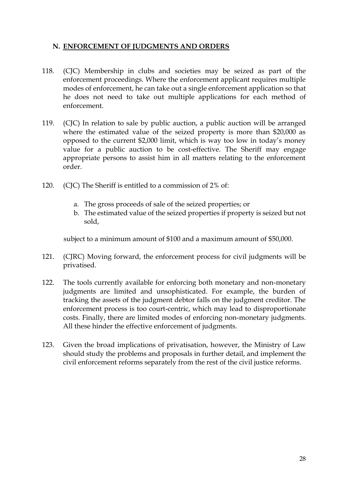#### <span id="page-28-0"></span>**N. ENFORCEMENT OF JUDGMENTS AND ORDERS**

- 118. (CJC) Membership in clubs and societies may be seized as part of the enforcement proceedings. Where the enforcement applicant requires multiple modes of enforcement, he can take out a single enforcement application so that he does not need to take out multiple applications for each method of enforcement.
- 119. (CJC) In relation to sale by public auction, a public auction will be arranged where the estimated value of the seized property is more than \$20,000 as opposed to the current \$2,000 limit, which is way too low in today's money value for a public auction to be cost-effective. The Sheriff may engage appropriate persons to assist him in all matters relating to the enforcement order.
- 120. (CJC) The Sheriff is entitled to a commission of 2% of:
	- a. The gross proceeds of sale of the seized properties; or
	- b. The estimated value of the seized properties if property is seized but not sold,

subject to a minimum amount of \$100 and a maximum amount of \$50,000.

- 121. (CJRC) Moving forward, the enforcement process for civil judgments will be privatised.
- 122. The tools currently available for enforcing both monetary and non-monetary judgments are limited and unsophisticated. For example, the burden of tracking the assets of the judgment debtor falls on the judgment creditor. The enforcement process is too court-centric, which may lead to disproportionate costs. Finally, there are limited modes of enforcing non-monetary judgments. All these hinder the effective enforcement of judgments.
- 123. Given the broad implications of privatisation, however, the Ministry of Law should study the problems and proposals in further detail, and implement the civil enforcement reforms separately from the rest of the civil justice reforms.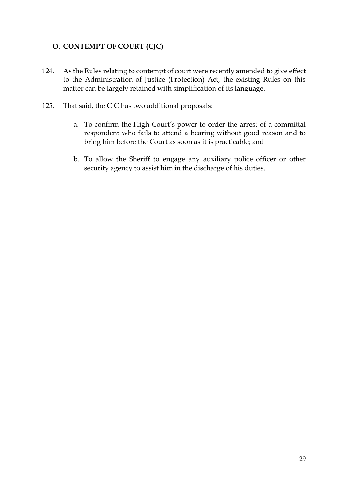# <span id="page-29-0"></span>**O. CONTEMPT OF COURT (CJC)**

- 124. As the Rules relating to contempt of court were recently amended to give effect to the Administration of Justice (Protection) Act, the existing Rules on this matter can be largely retained with simplification of its language.
- 125. That said, the CJC has two additional proposals:
	- a. To confirm the High Court's power to order the arrest of a committal respondent who fails to attend a hearing without good reason and to bring him before the Court as soon as it is practicable; and
	- b. To allow the Sheriff to engage any auxiliary police officer or other security agency to assist him in the discharge of his duties.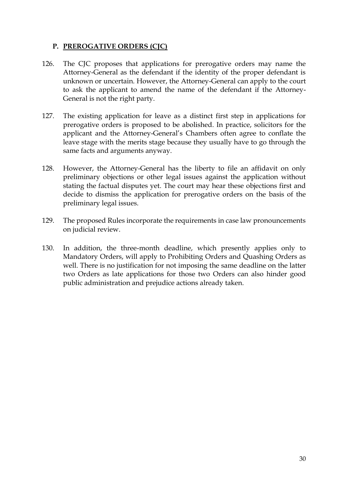# <span id="page-30-0"></span>**P. PREROGATIVE ORDERS (CJC)**

- 126. The CJC proposes that applications for prerogative orders may name the Attorney-General as the defendant if the identity of the proper defendant is unknown or uncertain. However, the Attorney-General can apply to the court to ask the applicant to amend the name of the defendant if the Attorney-General is not the right party.
- 127. The existing application for leave as a distinct first step in applications for prerogative orders is proposed to be abolished. In practice, solicitors for the applicant and the Attorney-General's Chambers often agree to conflate the leave stage with the merits stage because they usually have to go through the same facts and arguments anyway.
- 128. However, the Attorney-General has the liberty to file an affidavit on only preliminary objections or other legal issues against the application without stating the factual disputes yet. The court may hear these objections first and decide to dismiss the application for prerogative orders on the basis of the preliminary legal issues.
- 129. The proposed Rules incorporate the requirements in case law pronouncements on judicial review.
- 130. In addition, the three-month deadline, which presently applies only to Mandatory Orders, will apply to Prohibiting Orders and Quashing Orders as well. There is no justification for not imposing the same deadline on the latter two Orders as late applications for those two Orders can also hinder good public administration and prejudice actions already taken.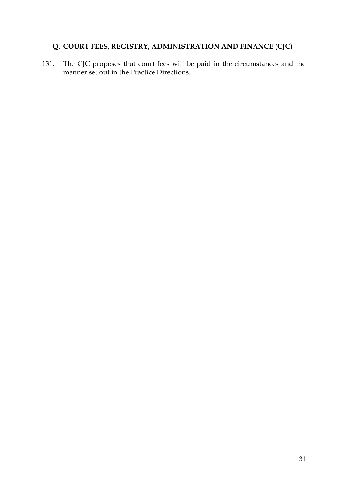# <span id="page-31-0"></span>**Q. COURT FEES, REGISTRY, ADMINISTRATION AND FINANCE (CJC)**

131. The CJC proposes that court fees will be paid in the circumstances and the manner set out in the Practice Directions.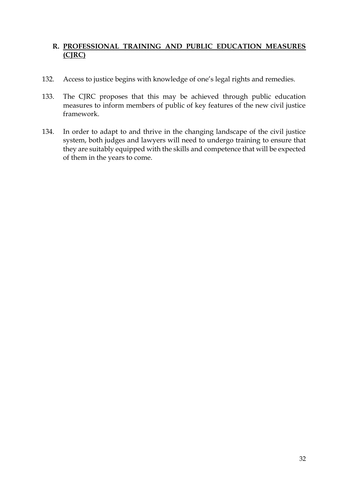# <span id="page-32-0"></span>**R. PROFESSIONAL TRAINING AND PUBLIC EDUCATION MEASURES (CJRC)**

- 132. Access to justice begins with knowledge of one's legal rights and remedies.
- 133. The CJRC proposes that this may be achieved through public education measures to inform members of public of key features of the new civil justice framework.
- 134. In order to adapt to and thrive in the changing landscape of the civil justice system, both judges and lawyers will need to undergo training to ensure that they are suitably equipped with the skills and competence that will be expected of them in the years to come.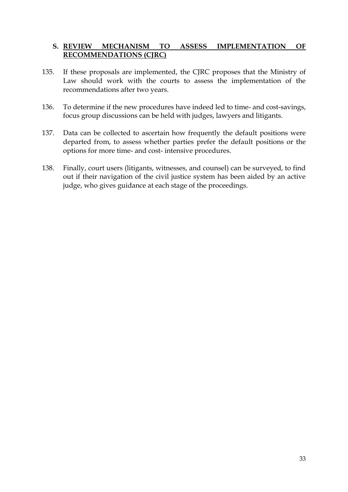#### <span id="page-33-0"></span>**S. REVIEW MECHANISM TO ASSESS IMPLEMENTATION OF RECOMMENDATIONS (CJRC)**

- 135. If these proposals are implemented, the CJRC proposes that the Ministry of Law should work with the courts to assess the implementation of the recommendations after two years.
- 136. To determine if the new procedures have indeed led to time- and cost-savings, focus group discussions can be held with judges, lawyers and litigants.
- 137. Data can be collected to ascertain how frequently the default positions were departed from, to assess whether parties prefer the default positions or the options for more time- and cost- intensive procedures.
- 138. Finally, court users (litigants, witnesses, and counsel) can be surveyed, to find out if their navigation of the civil justice system has been aided by an active judge, who gives guidance at each stage of the proceedings.